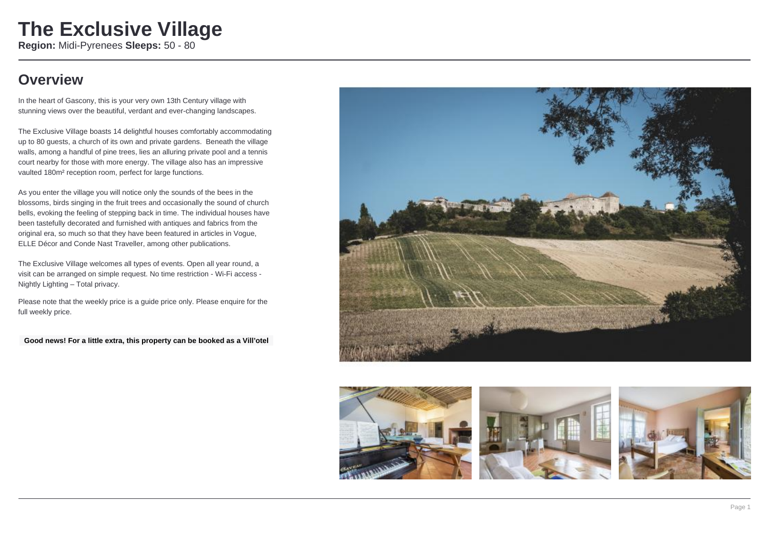### **Overview**

In the heart of Gascony, this is your very own 13th Century village with stunning views over the beautiful, verdant and ever-changing landscapes.

The Exclusive Village boasts 14 delightful houses comfortably accommodating up to 80 guests, a church of its own and private gardens. Beneath the village walls, among a handful of pine trees, lies an alluring private pool and a tennis court nearby for those with more energy. The village also has an impressive vaulted 180m² reception room, perfect for large functions.

As you enter the village you will notice only the sounds of the bees in the blossoms, birds singing in the fruit trees and occasionally the sound of church bells, evoking the feeling of stepping back in time. The individual houses have been tastefully decorated and furnished with antiques and fabrics from the original era, so much so that they have been featured in articles in Vogue, ELLE Décor and Conde Nast Traveller, among other publications.

The Exclusive Village welcomes all types of events. Open all year round, a visit can be arranged on simple request. No time restriction - Wi-Fi access - Nightly Lighting – Total privacy.

Please note that the weekly price is a guide price only. Please enquire for the full weekly price.

**Good news! For a little extra, this property can be booked as a Vill'otel**



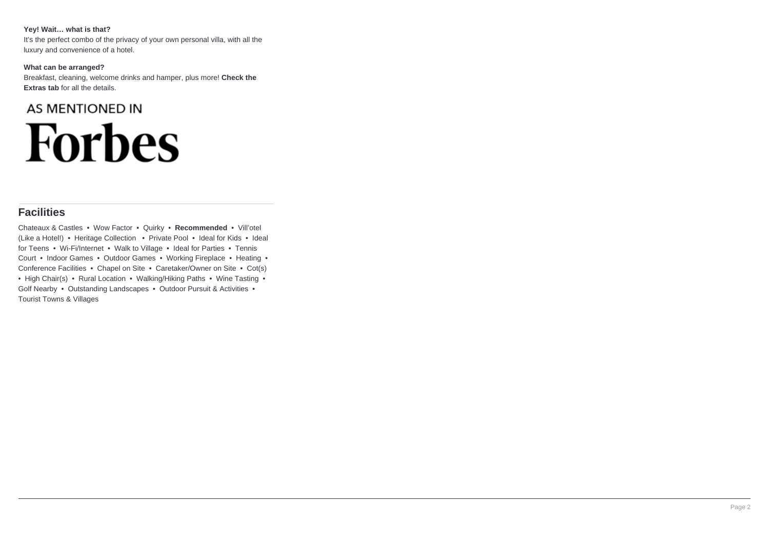#### **Yey! Wait… what is that?**

It's the perfect combo of the privacy of your own personal villa, with all the luxury and convenience of a hotel.

#### **What can be arranged?**

Breakfast, cleaning, welcome drinks and hamper, plus more! **Check the Extras tab** for all the details.

# **AS MENTIONED IN Forbes**

### **Facilities**

Chateaux & Castles • Wow Factor • Quirky • **Recommended** • Vill'otel (Like a Hotel!) • Heritage Collection • Private Pool • Ideal for Kids • Ideal for Teens • Wi-Fi/Internet • Walk to Village • Ideal for Parties • Tennis Court • Indoor Games • Outdoor Games • Working Fireplace • Heating • Conference Facilities • Chapel on Site • Caretaker/Owner on Site • Cot(s) • High Chair(s) • Rural Location • Walking/Hiking Paths • Wine Tasting • Golf Nearby • Outstanding Landscapes • Outdoor Pursuit & Activities • Tourist Towns & Villages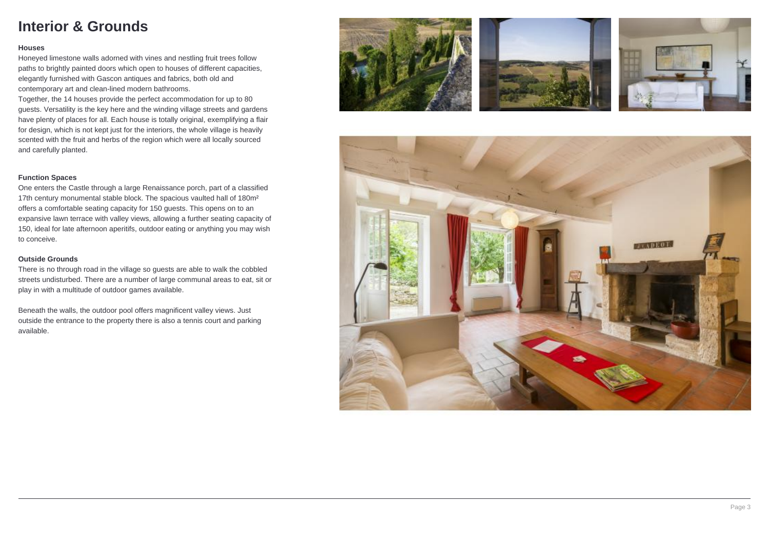### **Interior & Grounds**

#### **Houses**

Honeyed limestone walls adorned with vines and nestling fruit trees follow paths to brightly painted doors which open to houses of different capacities, elegantly furnished with Gascon antiques and fabrics, both old and contemporary art and clean-lined modern bathrooms.

Together, the 14 houses provide the perfect accommodation for up to 80 guests. Versatility is the key here and the winding village streets and gardens have plenty of places for all. Each house is totally original, exemplifying a flair for design, which is not kept just for the interiors, the whole village is heavily scented with the fruit and herbs of the region which were all locally sourced and carefully planted.

### **Function Spaces**

One enters the Castle through a large Renaissance porch, part of a classified 17th century monumental stable block. The spacious vaulted hall of 180m² offers a comfortable seating capacity for 150 guests. This opens on to an expansive lawn terrace with valley views, allowing a further seating capacity of 150, ideal for late afternoon aperitifs, outdoor eating or anything you may wish to conceive.

#### **Outside Grounds**

There is no through road in the village so guests are able to walk the cobbled streets undisturbed. There are a number of large communal areas to eat, sit or play in with a multitude of outdoor games available.

Beneath the walls, the outdoor pool offers magnificent valley views. Just outside the entrance to the property there is also a tennis court and parking available.







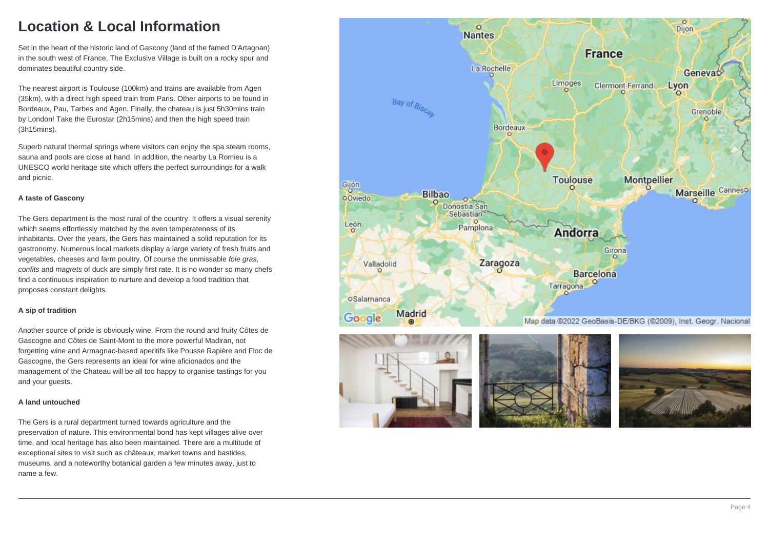### **Location & Local Information**

Set in the heart of the historic land of Gascony (land of the famed D'Artagnan) in the south west of France, The Exclusive Village is built on a rocky spur and dominates beautiful country side.

The nearest airport is Toulouse (100km) and trains are available from Agen (35km), with a direct high speed train from Paris. Other airports to be found in Bordeaux, Pau, Tarbes and Agen. Finally, the chateau is just 5h30mins train by London! Take the Eurostar (2h15mins) and then the high speed train (3h15mins).

Superb natural thermal springs where visitors can enjoy the spa steam rooms, sauna and pools are close at hand. In addition, the nearby La Romieu is a UNESCO world heritage site which offers the perfect surroundings for a walk and picnic.

### **A taste of Gascony**

The Gers department is the most rural of the country. It offers a visual serenity which seems effortlessly matched by the even temperateness of its inhabitants. Over the years, the Gers has maintained a solid reputation for its gastronomy. Numerous local markets display a large variety of fresh fruits and vegetables, cheeses and farm poultry. Of course the unmissable foie gras, confits and magrets of duck are simply first rate. It is no wonder so many chefs find a continuous inspiration to nurture and develop a food tradition that proposes constant delights.

#### **A sip of tradition**

Another source of pride is obviously wine. From the round and fruity Côtes de Gascogne and Côtes de Saint-Mont to the more powerful Madiran, not forgetting wine and Armagnac-based aperitifs like Pousse Rapière and Floc de Gascogne, the Gers represents an ideal for wine aficionados and the management of the Chateau will be all too happy to organise tastings for you and your guests.

#### **A land untouched**

The Gers is a rural department turned towards agriculture and the preservation of nature. This environmental bond has kept villages alive over time, and local heritage has also been maintained. There are a multitude of exceptional sites to visit such as châteaux, market towns and bastides, museums, and a noteworthy botanical garden a few minutes away, just to name a few.

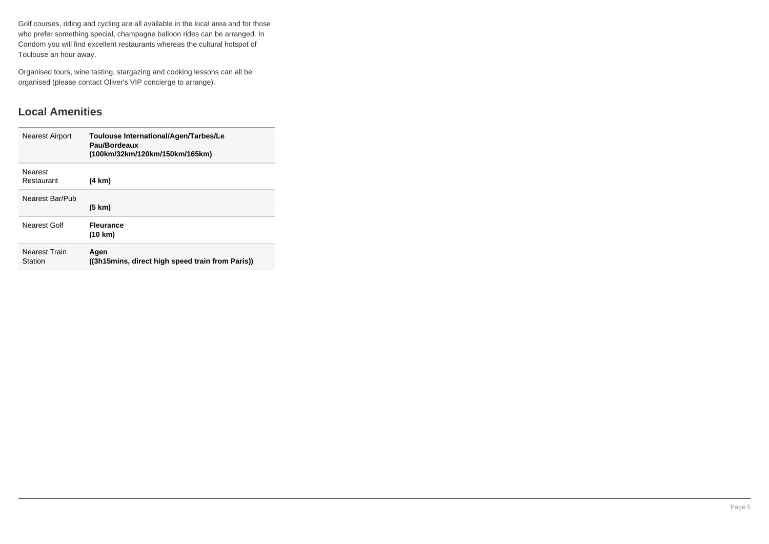Golf courses, riding and cycling are all available in the local area and for those who prefer something special, champagne balloon rides can be arranged. In Condom you will find excellent restaurants whereas the cultural hotspot of Toulouse an hour away.

Organised tours, wine tasting, stargazing and cooking lessons can all be organised (please contact Oliver's VIP concierge to arrange).

### **Local Amenities**

| <b>Nearest Airport</b>          | Toulouse International/Agen/Tarbes/Le<br>Pau/Bordeaux<br>(100km/32km/120km/150km/165km) |
|---------------------------------|-----------------------------------------------------------------------------------------|
| Nearest<br>Restaurant           | (4 km)                                                                                  |
| Nearest Bar/Pub                 | $(5 \text{ km})$                                                                        |
| Nearest Golf                    | <b>Fleurance</b><br>(10 km)                                                             |
| <b>Nearest Train</b><br>Station | Agen<br>((3h15mins, direct high speed train from Paris))                                |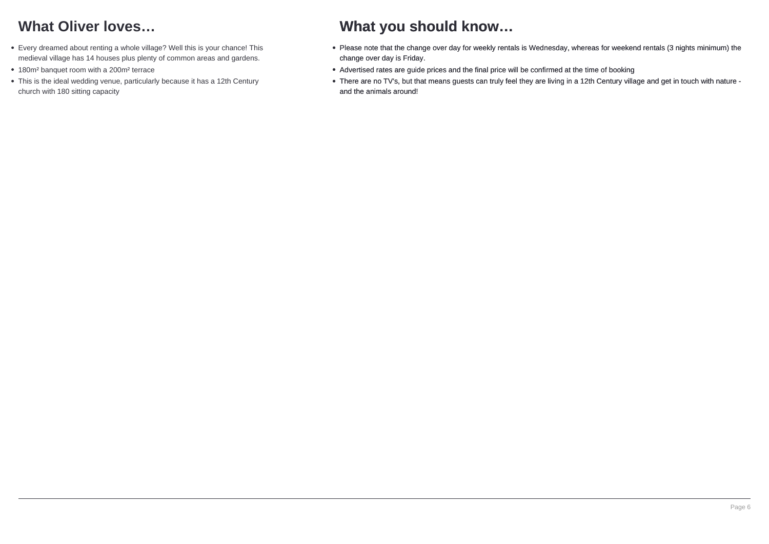## **What Oliver loves…**

- Every dreamed about renting a whole village? Well this is your chance! This medieval village has 14 houses plus plenty of common areas and gardens.
- 180m<sup>2</sup> banquet room with a 200m<sup>2</sup> terrace
- This is the ideal wedding venue, particularly because it has a 12th Century church with 180 sitting capacity

### **What you should know…**

- Please note that the change over day for weekly rentals is Wednesday, whereas for weekend rentals (3 nights minimum) the change over day is Friday.
- Advertised rates are guide prices and the final price will be confirmed at the time of booking
- There are no TV's, but that means guests can truly feel they are living in a 12th Century village and get in touch with nature and the animals around!